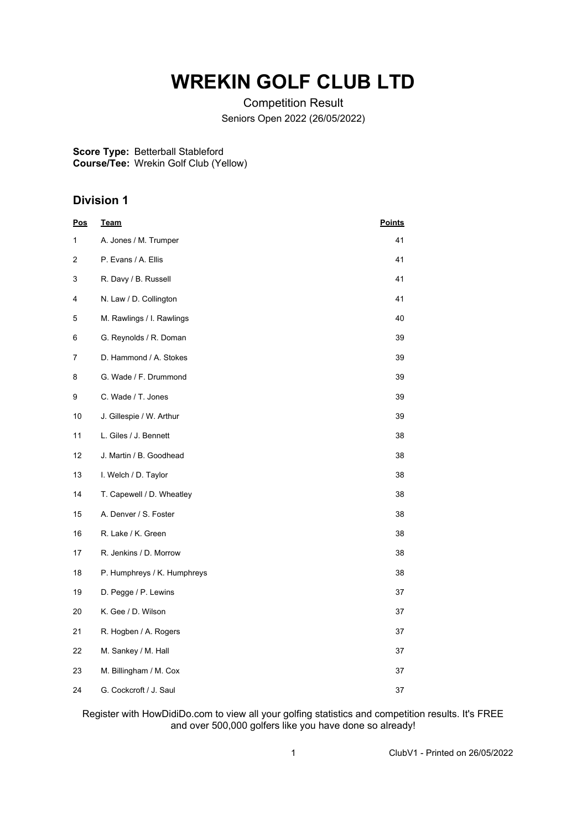## **WREKIN GOLF CLUB LTD**

Competition Result Seniors Open 2022 (26/05/2022)

**Score Type:** Betterball Stableford **Course/Tee:** Wrekin Golf Club (Yellow)

## **Division 1**

| <u>Pos</u> | <b>Team</b>                 | <b>Points</b> |
|------------|-----------------------------|---------------|
| 1          | A. Jones / M. Trumper       | 41            |
| 2          | P. Evans / A. Ellis         | 41            |
| 3          | R. Davy / B. Russell        | 41            |
| 4          | N. Law / D. Collington      | 41            |
| 5          | M. Rawlings / I. Rawlings   | 40            |
| 6          | G. Reynolds / R. Doman      | 39            |
| 7          | D. Hammond / A. Stokes      | 39            |
| 8          | G. Wade / F. Drummond       | 39            |
| 9          | C. Wade / T. Jones          | 39            |
| 10         | J. Gillespie / W. Arthur    | 39            |
| 11         | L. Giles / J. Bennett       | 38            |
| 12         | J. Martin / B. Goodhead     | 38            |
| 13         | I. Welch / D. Taylor        | 38            |
| 14         | T. Capewell / D. Wheatley   | 38            |
| 15         | A. Denver / S. Foster       | 38            |
| 16         | R. Lake / K. Green          | 38            |
| 17         | R. Jenkins / D. Morrow      | 38            |
| 18         | P. Humphreys / K. Humphreys | 38            |
| 19         | D. Pegge / P. Lewins        | 37            |
| 20         | K. Gee / D. Wilson          | 37            |
| 21         | R. Hogben / A. Rogers       | 37            |
| 22         | M. Sankey / M. Hall         | 37            |
| 23         | M. Billingham / M. Cox      | 37            |
| 24         | G. Cockcroft / J. Saul      | 37            |

Register with HowDidiDo.com to view all your golfing statistics and competition results. It's FREE and over 500,000 golfers like you have done so already!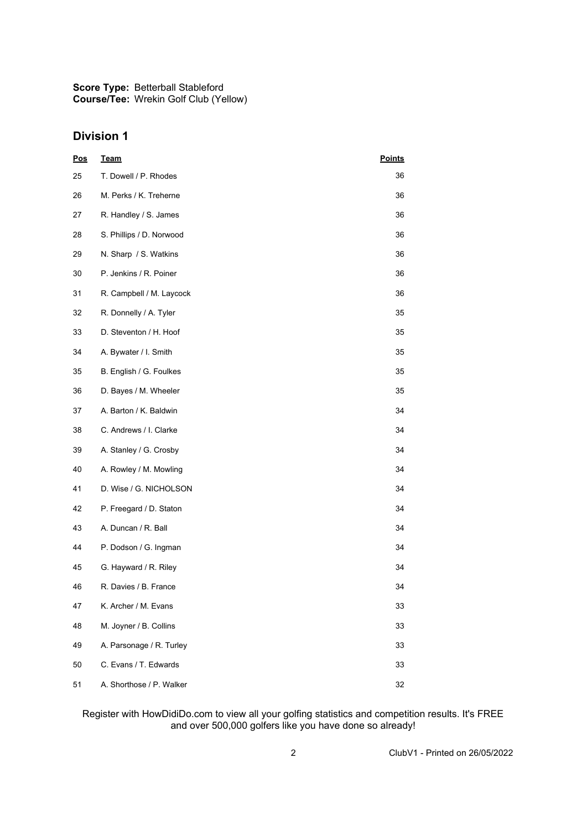**Score Type:** Betterball Stableford **Course/Tee:** Wrekin Golf Club (Yellow)

## **Division 1**

| <b>Pos</b> | <b>Team</b>              | <b>Points</b> |
|------------|--------------------------|---------------|
| 25         | T. Dowell / P. Rhodes    | 36            |
| 26         | M. Perks / K. Treherne   | 36            |
| 27         | R. Handley / S. James    | 36            |
| 28         | S. Phillips / D. Norwood | 36            |
| 29         | N. Sharp / S. Watkins    | 36            |
| 30         | P. Jenkins / R. Poiner   | 36            |
| 31         | R. Campbell / M. Laycock | 36            |
| 32         | R. Donnelly / A. Tyler   | 35            |
| 33         | D. Steventon / H. Hoof   | 35            |
| 34         | A. Bywater / I. Smith    | 35            |
| 35         | B. English / G. Foulkes  | 35            |
| 36         | D. Bayes / M. Wheeler    | 35            |
| 37         | A. Barton / K. Baldwin   | 34            |
| 38         | C. Andrews / I. Clarke   | 34            |
| 39         | A. Stanley / G. Crosby   | 34            |
| 40         | A. Rowley / M. Mowling   | 34            |
| 41         | D. Wise / G. NICHOLSON   | 34            |
| 42         | P. Freegard / D. Staton  | 34            |
| 43         | A. Duncan / R. Ball      | 34            |
| 44         | P. Dodson / G. Ingman    | 34            |
| 45         | G. Hayward / R. Riley    | 34            |
| 46         | R. Davies / B. France    | 34            |
| 47         | K. Archer / M. Evans     | 33            |
| 48         | M. Joyner / B. Collins   | 33            |
| 49         | A. Parsonage / R. Turley | 33            |
| 50         | C. Evans / T. Edwards    | 33            |
| 51         | A. Shorthose / P. Walker | 32            |

Register with HowDidiDo.com to view all your golfing statistics and competition results. It's FREE and over 500,000 golfers like you have done so already!